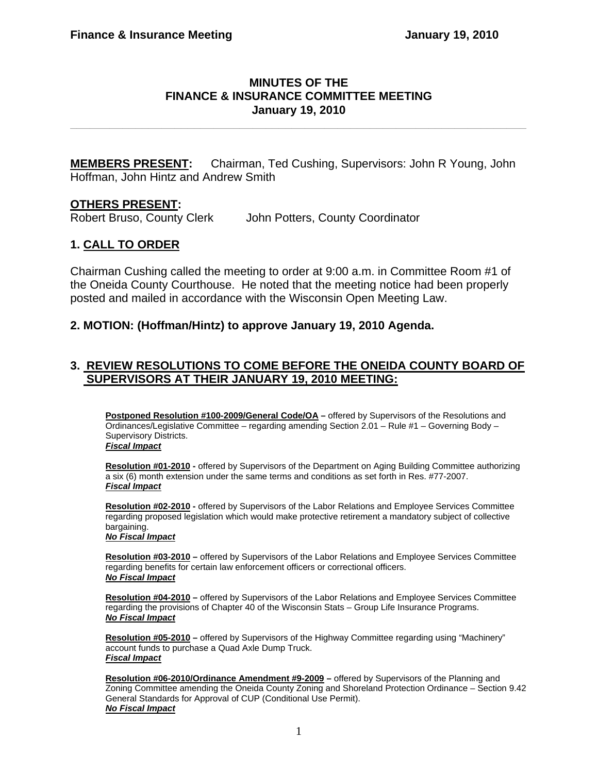#### **MINUTES OF THE FINANCE & INSURANCE COMMITTEE MEETING January 19, 2010**

**\_\_\_\_\_\_\_\_\_\_\_\_\_\_\_\_\_\_\_\_\_\_\_\_\_\_\_\_\_\_\_\_\_\_\_\_\_\_\_\_\_\_\_\_\_\_\_\_\_\_\_\_\_\_\_\_\_\_\_\_\_\_\_\_\_\_\_\_\_\_** 

**MEMBERS PRESENT:** Chairman, Ted Cushing, Supervisors: John R Young, John Hoffman, John Hintz and Andrew Smith

### **OTHERS PRESENT:**

Robert Bruso, County Clerk John Potters, County Coordinator

# **1. CALL TO ORDER**

Chairman Cushing called the meeting to order at 9:00 a.m. in Committee Room #1 of the Oneida County Courthouse. He noted that the meeting notice had been properly posted and mailed in accordance with the Wisconsin Open Meeting Law.

### **2. MOTION: (Hoffman/Hintz) to approve January 19, 2010 Agenda.**

## **3. REVIEW RESOLUTIONS TO COME BEFORE THE ONEIDA COUNTY BOARD OF SUPERVISORS AT THEIR JANUARY 19, 2010 MEETING:**

**Postponed Resolution #100-2009/General Code/OA** - offered by Supervisors of the Resolutions and Ordinances/Legislative Committee – regarding amending Section 2.01 – Rule #1 – Governing Body – Supervisory Districts. *Fiscal Impact*

**Resolution #01-2010 -** offered by Supervisors of the Department on Aging Building Committee authorizing a six (6) month extension under the same terms and conditions as set forth in Res. #77-2007. *Fiscal Impact*

**Resolution #02-2010 -** offered by Supervisors of the Labor Relations and Employee Services Committee regarding proposed legislation which would make protective retirement a mandatory subject of collective bargaining.

#### *No Fiscal Impact*

**Resolution #03-2010 –** offered by Supervisors of the Labor Relations and Employee Services Committee regarding benefits for certain law enforcement officers or correctional officers. *No Fiscal Impact*

**Resolution #04-2010 –** offered by Supervisors of the Labor Relations and Employee Services Committee regarding the provisions of Chapter 40 of the Wisconsin Stats – Group Life Insurance Programs. *No Fiscal Impact*

**Resolution #05-2010 –** offered by Supervisors of the Highway Committee regarding using "Machinery" account funds to purchase a Quad Axle Dump Truck. *Fiscal Impact*

**Resolution #06-2010/Ordinance Amendment #9-2009 –** offered by Supervisors of the Planning and Zoning Committee amending the Oneida County Zoning and Shoreland Protection Ordinance – Section 9.42 General Standards for Approval of CUP (Conditional Use Permit). *No Fiscal Impact*